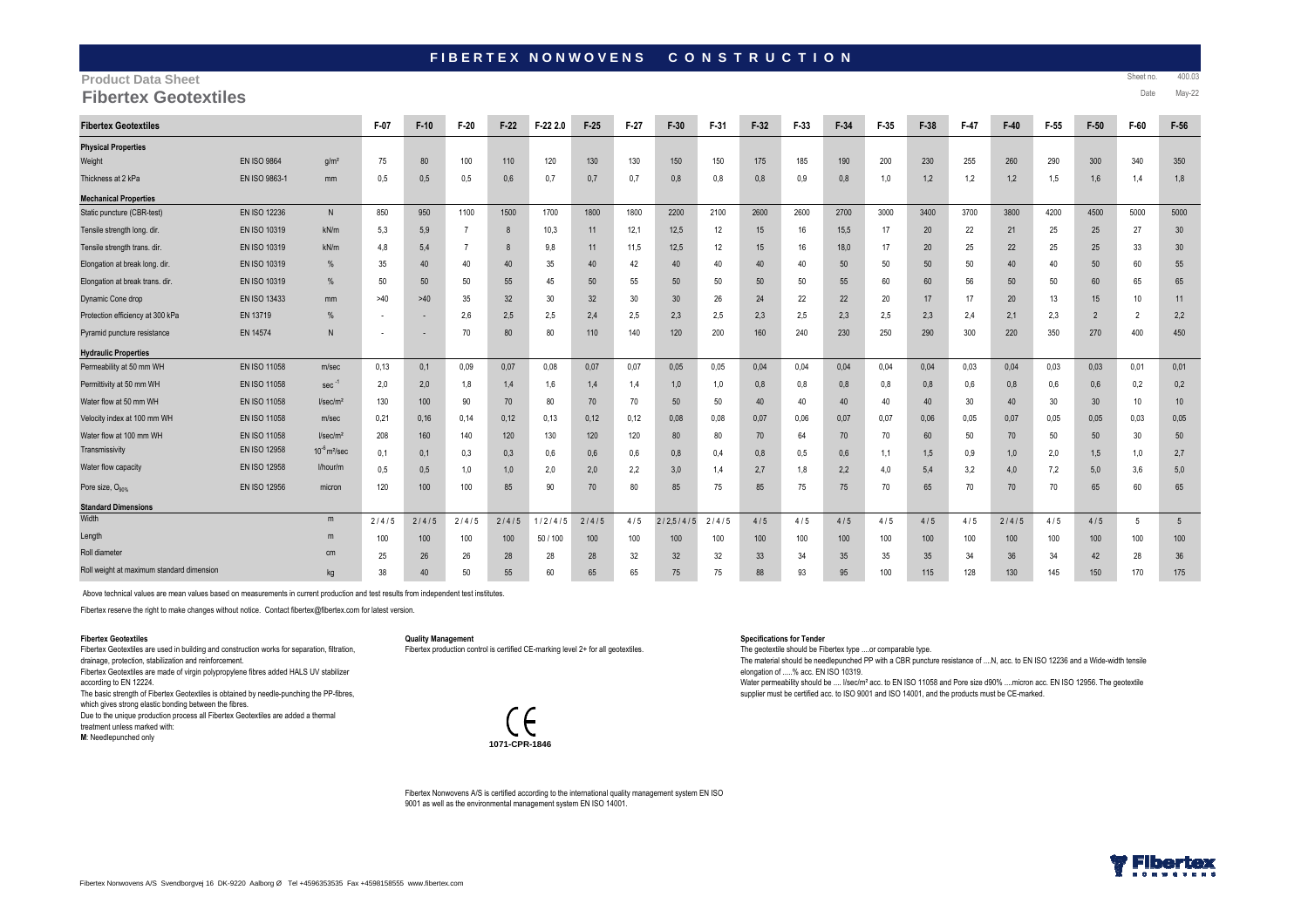# FIBERTEX NONWOVENS CONSTRUCTION

## **Product Data Sheet**

**Fibertex Geotextiles Date May-22 Date May-22** 

| <b>Fibertex Geotextiles</b>               |                     |                               | F-07                     | $F-10$ | $F-20$ | $F-22$ | F-22 2.0 | $F-25$ | $F-27$ | $F-30$          | F-31  | $F-32$ | $F-33$ | $F-34$ | F-35 | $F-38$ | $F-47$ | $F-40$ | F-55 | $F-50$         | F-60       | $F-56$          |
|-------------------------------------------|---------------------|-------------------------------|--------------------------|--------|--------|--------|----------|--------|--------|-----------------|-------|--------|--------|--------|------|--------|--------|--------|------|----------------|------------|-----------------|
| <b>Physical Properties</b>                |                     |                               |                          |        |        |        |          |        |        |                 |       |        |        |        |      |        |        |        |      |                |            |                 |
| Weight                                    | <b>EN ISO 9864</b>  | q/m <sup>2</sup>              | 75                       | 80     | 100    | 110    | 120      | 130    | 130    | 150             | 150   | 175    | 185    | 190    | 200  | 230    | 255    | 260    | 290  | 300            | 340        | 350             |
| Thickness at 2 kPa                        | EN ISO 9863-1       | mm                            | 0,5                      | 0,5    | 0,5    | 0,6    | 0,7      | 0,7    | 0,7    | 0,8             | 0,8   | 0,8    | 0.9    | 0,8    | 1,0  | 1,2    | 1,2    | 1,2    | 1,5  | 1,6            | 1.4        | 1,8             |
| <b>Mechanical Properties</b>              |                     |                               |                          |        |        |        |          |        |        |                 |       |        |        |        |      |        |        |        |      |                |            |                 |
| Static puncture (CBR-test)                | <b>EN ISO 12236</b> | N                             | 850                      | 950    | 1100   | 1500   | 1700     | 1800   | 1800   | 2200            | 2100  | 2600   | 2600   | 2700   | 3000 | 3400   | 3700   | 3800   | 4200 | 4500           | 5000       | 5000            |
| Tensile strength long, dir.               | <b>EN ISO 10319</b> | kN/m                          | 5,3                      | 5,9    |        | 8      | 10,3     | 11     | 12,1   | 12,5            | 12    | 15     | 16     | 15,5   | 17   | 20     | 22     | 21     | 25   | 25             | 27         | 30              |
| Tensile strength trans. dir.              | EN ISO 10319        | kN/m                          | 4,8                      | 5,4    |        | 8      | 9,8      | 11     | 11,5   | 12,5            | 12    | 15     | 16     | 18,0   | 17   | 20     | 25     | 22     | 25   | 25             | 33         | 30              |
| Elongation at break long. dir.            | EN ISO 10319        | %                             | 35                       | 40     | 40     | 40     | 35       | 40     | 42     | 40              | 40    | 40     | 40     | 50     | 50   | 50     | 50     | 40     | 40   | 50             | 60         | 55              |
| Elongation at break trans. dir.           | <b>EN ISO 10319</b> | %                             | 50                       | 50     | 50     | 55     | 45       | 50     | 55     | 50              | 50    | 50     | 50     | 55     | 60   | 60     | 56     | 50     | 50   | 60             | 65         | 65              |
| Dynamic Cone drop                         | EN ISO 13433        | mm                            | >40                      | >40    | 35     | 32     | 30       | 32     | 30     | 30 <sup>°</sup> | 26    | 24     | 22     | 22     | 20   | 17     | 17     | 20     | 13   | 15             | 10         | 11              |
| Protection efficiency at 300 kPa          | EN 13719            | %                             | $\overline{\phantom{a}}$ |        | 2,6    | 2,5    | 2,5      | 2,4    | 2,5    | 2,3             | 2,5   | 2,3    | 2,5    | 2,3    | 2,5  | 2,3    | 2,4    | 2,1    | 2,3  | $\overline{2}$ | 2          | 2,2             |
| Pyramid puncture resistance               | EN 14574            | N                             |                          |        | 70     | 80     | 80       | 110    | 140    | 120             | 200   | 160    | 240    | 230    | 250  | 290    | 300    | 220    | 350  | 270            | 400        | 450             |
| <b>Hydraulic Properties</b>               |                     |                               |                          |        |        |        |          |        |        |                 |       |        |        |        |      |        |        |        |      |                |            |                 |
| Permeability at 50 mm WH                  | EN ISO 11058        | m/sec                         | 0,13                     | 0,1    | 0.09   | 0,07   | 0.08     | 0.07   | 0,07   | 0,05            | 0.05  | 0.04   | 0.04   | 0,04   | 0,04 | 0,04   | 0.03   | 0,04   | 0,03 | 0,03           | 0.01       | 0,01            |
| Permittivity at 50 mm WH                  | <b>EN ISO 11058</b> | $sec^{-1}$                    | 2,0                      | 2,0    | 1,8    | 1,4    | 1,6      | 1,4    | 1,4    | 1,0             | 1,0   | 0,8    | 0,8    | 0,8    | 0,8  | 0,8    | 0,6    | 0,8    | 0,6  | 0,6            | 0,2        | 0,2             |
| Water flow at 50 mm WH                    | <b>EN ISO 11058</b> | I/sec/m <sup>2</sup>          | 130                      | 100    | 90     | 70     | 80       | 70     | 70     | 50              | 50    | 40     | 40     | 40     | 40   | 40     | 30     | 40     | 30   | 30             | 10         | 10              |
| Velocity index at 100 mm WH               | <b>EN ISO 11058</b> | m/sec                         | 0,21                     | 0,16   | 0,14   | 0,12   | 0,13     | 0,12   | 0,12   | 0,08            | 0.08  | 0,07   | 0.06   | 0,07   | 0.07 | 0.06   | 0.05   | 0,07   | 0.05 | 0,05           | 0,03       | 0,05            |
| Water flow at 100 mm WH                   | <b>EN ISO 11058</b> | I/sec/m <sup>2</sup>          | 208                      | 160    | 140    | 120    | 130      | 120    | 120    | 80              | 80    | 70     | 64     | 70     | 70   | 60     | 50     | 70     | 50   | 50             | 30         | 50              |
| Transmissivity                            | EN ISO 12958        | $10^{-6}$ m <sup>2</sup> /sec | 0,1                      | 0,1    | 0,3    | 0,3    | 0,6      | 0,6    | 0,6    | 0,8             | 0,4   | 0,8    | 0,5    | 0,6    | 1,1  | 1,5    | 0,9    | 1,0    | 2,0  | 1,5            | 1,0        | 2,7             |
| Water flow capacity                       | <b>EN ISO 12958</b> | l/hour/m                      | 0,5                      | 0,5    | 1,0    | 1,0    | 2,0      | 2,0    | 2,2    | 3,0             | 1,4   | 2,7    | 1,8    | 2,2    | 4,0  | 5,4    | 3,2    | 4,0    | 7,2  | 5,0            | 3,6        | 5,0             |
| Pore size, Ogns                           | <b>EN ISO 12956</b> | micron                        | 120                      | 100    | 100    | 85     | 90       | 70     | 80     | 85              | 75    | 85     | 75     | 75     | 70   | 65     | 70     | 70     | 70   | 65             | 60         | 65              |
| <b>Standard Dimensions</b>                |                     |                               |                          |        |        |        |          |        |        |                 |       |        |        |        |      |        |        |        |      |                |            |                 |
| Width                                     |                     | m                             | 2/4/5                    | 2/4/5  | 2/4/5  | 2/4/5  | 1/2/4/5  | 2/4/5  | 4/5    | 2/2,5/4/5       | 2/4/5 | 4/5    | 4/5    | 4/5    | 4/5  | 4/5    | 4/5    | 2/4/5  | 4/5  | 4/5            | $\sqrt{5}$ | $5\overline{5}$ |
| Length                                    |                     | m                             | 100                      | 100    | 100    | 100    | 50 / 100 | 100    | 100    | 100             | 100   | 100    | 100    | 100    | 100  | 100    | 100    | 100    | 100  | 100            | 100        | 100             |
| Roll diameter                             |                     | cm                            | 25                       | 26     | 26     | 28     | 28       | 28     | 32     | 32              | 32    | 33     | 34     | 35     | 35   | 35     | 34     | 36     | 34   | 42             | 28         | 36              |
| Roll weight at maximum standard dimension |                     | kg                            | 38                       | 40     | 50     | 55     | 60       | 65     | 65     | 75              | 75    | 88     | 93     | 95     | 100  | 115    | 128    | 130    | 145  | 150            | 170        | 175             |

Above technical values are mean values based on measurements in current production and test results from independent test institutes.

Fibertex reserve the right to make changes without notice. Contact fibertex@fibertex.com for latest version.

#### **Fibertex Geotextiles**

 Fibertex Geotextiles are used in building and construction works for separation, filtration, drainage, protection, stabilization and reinforcement. Fibertex Geotextiles are made of virgin polypropylene fibres added HALS UV stabilizer according to EN 12224. The basic strength of Fibertex Geotextiles is obtained by needle-punching the PP-fibres, which gives strong elastic bonding between the fibres. Due to the unique production process all Fibertex Geotextiles are added a thermal treatment unless marked with:**M**: Needlepunched only

**Quality Management**

Fibertex production control is certified CE-marking level 2+ for all geotextiles.



### **Specifications for Tender**

The geotextile should be Fibertex type ....or comparable type.

 The material should be needlepunched PP with a CBR puncture resistance of ....N, acc. to EN ISO 12236 and a Wide-width tensile elongation of .....% acc. EN ISO 10319.

Water permeability should be .... I/sec/m<sup>2</sup> acc. to EN ISO 11058 and Pore size d90% ....micron acc. EN ISO 12956. The geotextile supplier must be certified acc. to ISO 9001 and ISO 14001, and the products must be CE-marked.

Fibertex Nonwovens A/S is certified according to the international quality management system EN ISO 9001 as well as the environmental management system EN ISO 14001.